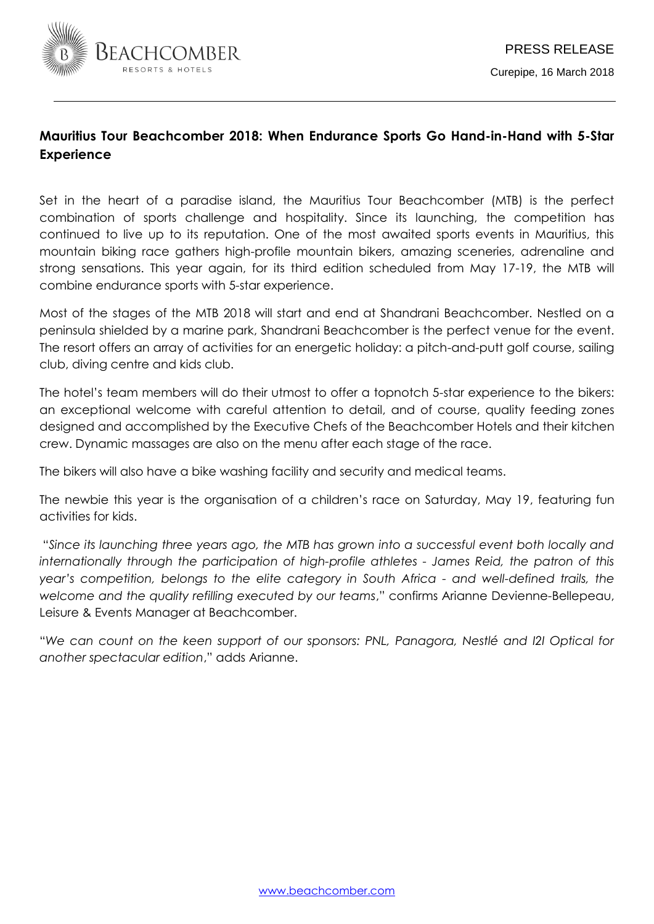

# **Mauritius Tour Beachcomber 2018: When Endurance Sports Go Hand-in-Hand with 5-Star Experience**

Set in the heart of a paradise island, the Mauritius Tour Beachcomber (MTB) is the perfect combination of sports challenge and hospitality. Since its launching, the competition has continued to live up to its reputation. One of the most awaited sports events in Mauritius, this mountain biking race gathers high-profile mountain bikers, amazing sceneries, adrenaline and strong sensations. This year again, for its third edition scheduled from May 17-19, the MTB will combine endurance sports with 5-star experience.

Most of the stages of the MTB 2018 will start and end at Shandrani Beachcomber. Nestled on a peninsula shielded by a marine park, Shandrani Beachcomber is the perfect venue for the event. The resort offers an array of activities for an energetic holiday: a pitch-and-putt golf course, sailing club, diving centre and kids club.

The hotel's team members will do their utmost to offer a topnotch 5-star experience to the bikers: an exceptional welcome with careful attention to detail, and of course, quality feeding zones designed and accomplished by the Executive Chefs of the Beachcomber Hotels and their kitchen crew. Dynamic massages are also on the menu after each stage of the race.

The bikers will also have a bike washing facility and security and medical teams.

The newbie this year is the organisation of a children's race on Saturday, May 19, featuring fun activities for kids.

"*Since its launching three years ago, the MTB has grown into a successful event both locally and internationally through the participation of high-profile athletes - James Reid, the patron of this year's competition, belongs to the elite category in South Africa - and well-defined trails, the welcome and the quality refilling executed by our teams*," confirms Arianne Devienne-Bellepeau, Leisure & Events Manager at Beachcomber.

"*We can count on the keen support of our sponsors: PNL, Panagora, Nestlé and I2I Optical for another spectacular edition*," adds Arianne.